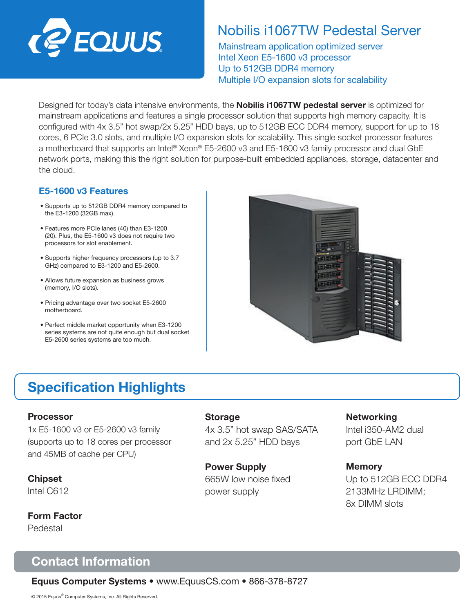

### Nobilis i1067TW Pedestal Server

Mainstream application optimized server Intel Xeon E5-1600 v3 processor Up to 512GB DDR4 memory Multiple I/O expansion slots for scalability

Designed for today's data intensive environments, the **Nobilis i1067TW pedestal server** is optimized for mainstream applications and features a single processor solution that supports high memory capacity. It is configured with 4x 3.5" hot swap/2x 5.25" HDD bays, up to 512GB ECC DDR4 memory, support for up to 18 cores, 6 PCIe 3.0 slots, and multiple I/O expansion slots for scalability. This single socket processor features a motherboard that supports an Intel® Xeon® E5-2600 v3 and E5-1600 v3 family processor and dual GbE network ports, making this the right solution for purpose-built embedded appliances, storage, datacenter and the cloud.

#### E5-1600 v3 Features

- Supports up to 512GB DDR4 memory compared to the E3-1200 (32GB max).
- Features more PCIe lanes (40) than E3-1200 (20). Plus, the E5-1600 v3 does not require two processors for slot enablement.
- Supports higher frequency processors (up to 3.7 GHz) compared to E3-1200 and E5-2600.
- Allows future expansion as business grows (memory, I/O slots).
- Pricing advantage over two socket E5-2600 motherboard.
- Perfect middle market opportunity when E3-1200 series systems are not quite enough but dual socket E5-2600 series systems are too much.



# Specification Highlights

#### Processor

1x E5-1600 v3 or E5-2600 v3 family (supports up to 18 cores per processor and 45MB of cache per CPU)

Chipset Intel C612

Form Factor Pedestal

#### **Storage**

4x 3.5" hot swap SAS/SATA and 2x 5.25" HDD bays

Power Supply 665W low noise fixed power supply

#### **Networking**

Intel i350-AM2 dual port GbE LAN

#### **Memory**

Up to 512GB ECC DDR4 2133MHz LRDIMM; 8x DIMM slots

### Contact Information

Equus Computer Systems • www.EquusCS.com • 866-378-8727